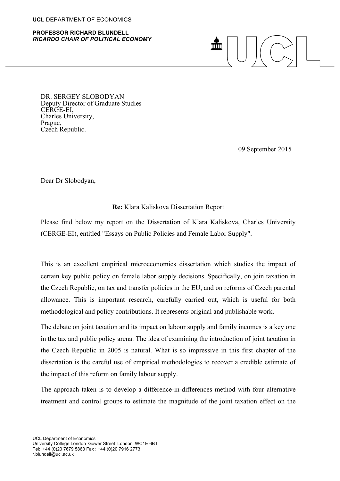## **UCL** DEPARTMENT OF ECONOMICS

## **PROFESSOR RICHARD BLUNDELL** *RICARDO CHAIR OF POLITICAL ECONOMY*

## mm

DR. SERGEY SLOBODYAN Deputy Director of Graduate Studies CERGE-EI,<br>Charles University,<br>Prague,<br>Czech Republic.

09 September 2015

Dear Dr Slobodyan,

## **Re:** Klara Kaliskova Dissertation Report

Please find below my report on the Dissertation of Klara Kaliskova, Charles University (CERGE-EI), entitled "Essays on Public Policies and Female Labor Supply".

This is an excellent empirical microeconomics dissertation which studies the impact of certain key public policy on female labor supply decisions. Specifically, on join taxation in the Czech Republic, on tax and transfer policies in the EU, and on reforms of Czech parental allowance. This is important research, carefully carried out, which is useful for both methodological and policy contributions. It represents original and publishable work.

The debate on joint taxation and its impact on labour supply and family incomes is a key one in the tax and public policy arena. The idea of examining the introduction of joint taxation in the Czech Republic in 2005 is natural. What is so impressive in this first chapter of the dissertation is the careful use of empirical methodologies to recover a credible estimate of the impact of this reform on family labour supply.

The approach taken is to develop a difference-in-differences method with four alternative treatment and control groups to estimate the magnitude of the joint taxation effect on the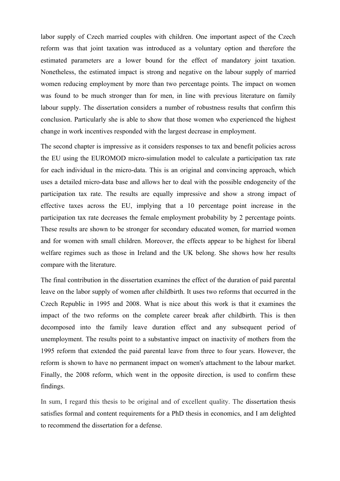labor supply of Czech married couples with children. One important aspect of the Czech reform was that joint taxation was introduced as a voluntary option and therefore the estimated parameters are a lower bound for the effect of mandatory joint taxation. Nonetheless, the estimated impact is strong and negative on the labour supply of married women reducing employment by more than two percentage points. The impact on women was found to be much stronger than for men, in line with previous literature on family labour supply. The dissertation considers a number of robustness results that confirm this conclusion. Particularly she is able to show that those women who experienced the highest change in work incentives responded with the largest decrease in employment.

The second chapter is impressive as it considers responses to tax and benefit policies across the EU using the EUROMOD micro-simulation model to calculate a participation tax rate for each individual in the micro-data. This is an original and convincing approach, which uses a detailed micro-data base and allows her to deal with the possible endogeneity of the participation tax rate. The results are equally impressive and show a strong impact of effective taxes across the EU, implying that a 10 percentage point increase in the participation tax rate decreases the female employment probability by 2 percentage points. These results are shown to be stronger for secondary educated women, for married women and for women with small children. Moreover, the effects appear to be highest for liberal welfare regimes such as those in Ireland and the UK belong. She shows how her results compare with the literature.

The final contribution in the dissertation examines the effect of the duration of paid parental leave on the labor supply of women after childbirth. It uses two reforms that occurred in the Czech Republic in 1995 and 2008. What is nice about this work is that it examines the impact of the two reforms on the complete career break after childbirth. This is then decomposed into the family leave duration effect and any subsequent period of unemployment. The results point to a substantive impact on inactivity of mothers from the 1995 reform that extended the paid parental leave from three to four years. However, the reform is shown to have no permanent impact on women's attachment to the labour market. Finally, the 2008 reform, which went in the opposite direction, is used to confirm these findings.

In sum, I regard this thesis to be original and of excellent quality. The dissertation thesis satisfies formal and content requirements for a PhD thesis in economics, and I am delighted to recommend the dissertation for a defense.